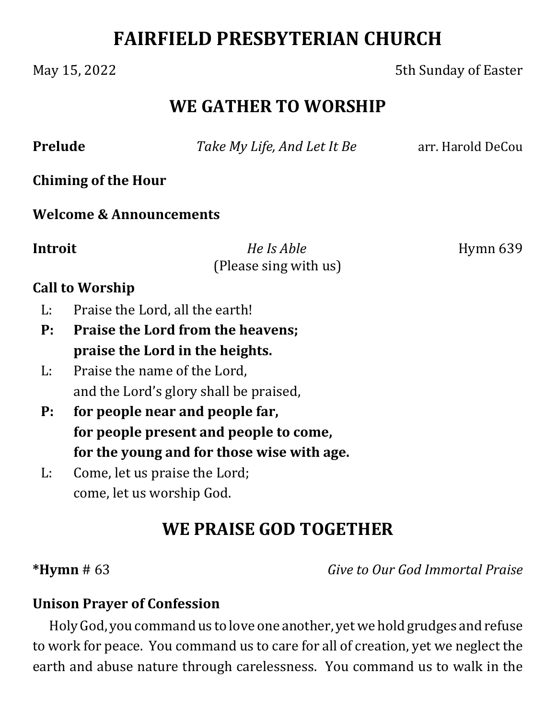# **FAIRFIELD PRESBYTERIAN CHURCH**

May 15, 2022 **5th Sunday of Easter** 

## **WE GATHER TO WORSHIP**

**Prelude** *Take My Life, And Let It Be* arr. Harold DeCou

**Chiming of the Hour**

**Welcome & Announcements**

**Introit**  *He Is Able* Hymn 639 (Please sing with us)

#### **Call to Worship**

- L: Praise the Lord, all the earth!
- **P: Praise the Lord from the heavens; praise the Lord in the heights.**
- L: Praise the name of the Lord, and the Lord's glory shall be praised,
- **P: for people near and people far, for people present and people to come, for the young and for those wise with age.**
- L: Come, let us praise the Lord; come, let us worship God.

# **WE PRAISE GOD TOGETHER**

**\*Hymn** # 63 *Give to Our God Immortal Praise*

#### **Unison Prayer of Confession**

Holy God, you command us to love one another, yet we hold grudges and refuse to work for peace. You command us to care for all of creation, yet we neglect the earth and abuse nature through carelessness. You command us to walk in the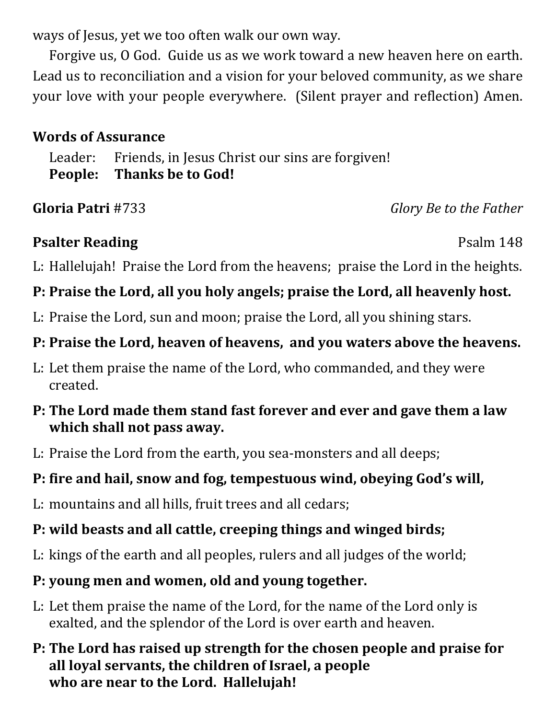ways of Jesus, yet we too often walk our own way.

Forgive us, O God. Guide us as we work toward a new heaven here on earth. Lead us to reconciliation and a vision for your beloved community, as we share your love with your people everywhere. (Silent prayer and reflection) Amen.

#### **Words of Assurance**

Leader: Friends, in Jesus Christ our sins are forgiven! **People: Thanks be to God!**

**Gloria Patri** #733 *Glory Be to the Father*

## **Psalter Reading** Psalm 148

L: Hallelujah! Praise the Lord from the heavens; praise the Lord in the heights.

## **P: Praise the Lord, all you holy angels; praise the Lord, all heavenly host.**

L: Praise the Lord, sun and moon; praise the Lord, all you shining stars.

## **P: Praise the Lord, heaven of heavens, and you waters above the heavens.**

L: Let them praise the name of the Lord, who commanded, and they were created.

### **P: The Lord made them stand fast forever and ever and gave them a law which shall not pass away.**

L: Praise the Lord from the earth, you sea-monsters and all deeps;

## **P: fire and hail, snow and fog, tempestuous wind, obeying God's will,**

L: mountains and all hills, fruit trees and all cedars;

## **P: wild beasts and all cattle, creeping things and winged birds;**

L: kings of the earth and all peoples, rulers and all judges of the world;

## **P: young men and women, old and young together.**

L: Let them praise the name of the Lord, for the name of the Lord only is exalted, and the splendor of the Lord is over earth and heaven.

### **P: The Lord has raised up strength for the chosen people and praise for all loyal servants, the children of Israel, a people who are near to the Lord. Hallelujah!**